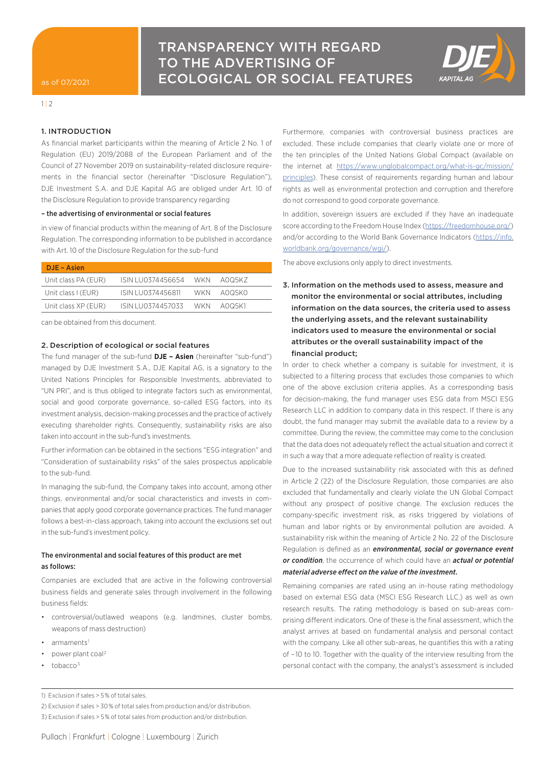

 $1 | 2$ 

## 1. INTRODUCTION

As financial market participants within the meaning of Article 2 No. 1 of Regulation (EU) 2019/2088 of the European Parliament and of the Council of 27 November 2019 on sustainability-related disclosure requirements in the financial sector (hereinafter "Disclosure Regulation"), DJE Investment S.A. and DJE Kapital AG are obliged under Art. 10 of the Disclosure Regulation to provide transparency regarding

#### – the advertising of environmental or social features

in view of financial products within the meaning of Art. 8 of the Disclosure Regulation. The corresponding information to be published in accordance with Art. 10 of the Disclosure Regulation for the sub-fund

| DJE - Asien         |                   |      |        |  |
|---------------------|-------------------|------|--------|--|
| Unit class PA (EUR) | ISIN LU0374456654 | WKN. | AOO5KZ |  |
| Unit class I (EUR)  | ISIN LU0374456811 | WKN. | AOO5KO |  |
| Unit class XP (EUR) | ISIN LU0374457033 | WKN. | AOO5K1 |  |
|                     |                   |      |        |  |

can be obtained from this document.

#### 2. Description of ecological or social features

The fund manager of the sub-fund **DJE – Asien** (hereinafter "sub-fund") managed by DJE Investment S.A., DJE Kapital AG, is a signatory to the United Nations Principles for Responsible Investments, abbreviated to "UN PRI", and is thus obliged to integrate factors such as environmental, social and good corporate governance, so-called ESG factors, into its investment analysis, decision-making processes and the practice of actively executing shareholder rights. Consequently, sustainability risks are also taken into account in the sub-fund's investments.

Further information can be obtained in the sections "ESG integration" and "Consideration of sustainability risks" of the sales prospectus applicable to the sub-fund.

In managing the sub-fund, the Company takes into account, among other things, environmental and/or social characteristics and invests in companies that apply good corporate governance practices. The fund manager follows a best-in-class approach, taking into account the exclusions set out in the sub-fund's investment policy.

### The environmental and social features of this product are met as follows:

Companies are excluded that are active in the following controversial business fields and generate sales through involvement in the following business fields:

- controversial/outlawed weapons (e.g. landmines, cluster bombs, weapons of mass destruction)
- armaments<sup>1</sup>
- power plant coal 2
- tobacco 3

Furthermore, companies with controversial business practices are excluded. These include companies that clearly violate one or more of the ten principles of the United Nations Global Compact (available on the internet at [https://www.unglobalcompact.org/what-is-gc/mission/](https://www.unglobalcompact.org/what-is-gc/mission/principles) [principles\)](https://www.unglobalcompact.org/what-is-gc/mission/principles). These consist of requirements regarding human and labour rights as well as environmental protection and corruption and therefore do not correspond to good corporate governance.

In addition, sovereign issuers are excluded if they have an inadequate score according to the Freedom House Index [\(https://freedomhouse.org/](https://freedomhouse.org/)) and/or according to the World Bank Governance Indicators ([https://info.](https://info.worldbank.org/governance/wgi/) [worldbank.org/governance/wgi/\)](https://info.worldbank.org/governance/wgi/).

The above exclusions only apply to direct investments.

# 3. Information on the methods used to assess, measure and monitor the environmental or social attributes, including information on the data sources, the criteria used to assess the underlying assets, and the relevant sustainability indicators used to measure the environmental or social attributes or the overall sustainability impact of the financial product;

In order to check whether a company is suitable for investment, it is subjected to a filtering process that excludes those companies to which one of the above exclusion criteria applies. As a corresponding basis for decision-making, the fund manager uses ESG data from MSCI ESG Research LLC in addition to company data in this respect. If there is any doubt, the fund manager may submit the available data to a review by a committee. During the review, the committee may come to the conclusion that the data does not adequately reflect the actual situation and correct it in such a way that a more adequate reflection of reality is created.

Due to the increased sustainability risk associated with this as defined in Article 2 (22) of the Disclosure Regulation, those companies are also excluded that fundamentally and clearly violate the UN Global Compact without any prospect of positive change. The exclusion reduces the company-specific investment risk, as risks triggered by violations of human and labor rights or by environmental pollution are avoided. A sustainability risk within the meaning of Article 2 No. 22 of the Disclosure Regulation is defined as an *environmental, social or governance event or condition*, the occurrence of which could have an *actual or potential material adverse effect on the value of the investment.*

Remaining companies are rated using an in-house rating methodology based on external ESG data (MSCI ESG Research LLC.) as well as own research results. The rating methodology is based on sub-areas comprising different indicators. One of these is the final assessment, which the analyst arrives at based on fundamental analysis and personal contact with the company. Like all other sub-areas, he quantifies this with a rating of – 10 to 10. Together with the quality of the interview resulting from the personal contact with the company, the analyst's assessment is included

2) Exclusion if sales > 30 % of total sales from production and/or distribution.

<sup>1)</sup> Exclusion if sales > 5 % of total sales.

<sup>3)</sup> Exclusion if sales > 5 % of total sales from production and/or distribution.